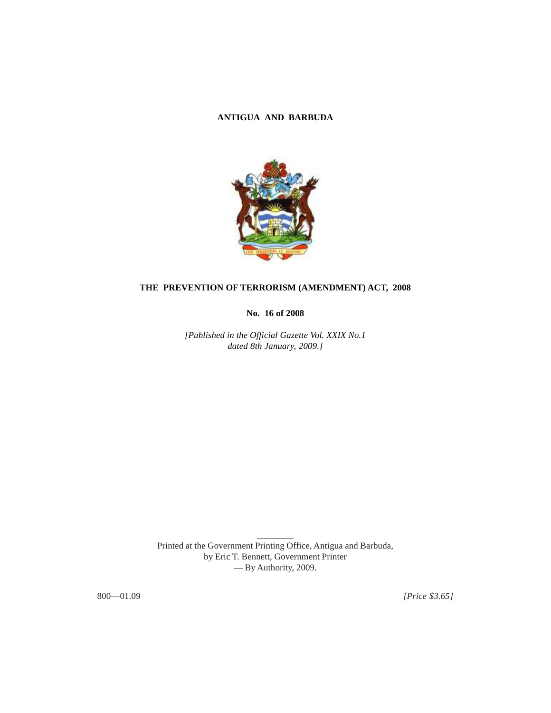## **ANTIGUA AND BARBUDA**



# **THE PREVENTION OF TERRORISM (AMENDMENT) ACT, 2008**

**No. 16 of 2008**

*[Published in the Official Gazette Vol. XXIX No.1 dated 8th January, 2009.]*

Printed at the Government Printing Office, Antigua and Barbuda, by Eric T. Bennett, Government Printer — By Authority, 2009.

 $\overline{\phantom{a}}$ 

800—01.09 *[Price \$3.65]*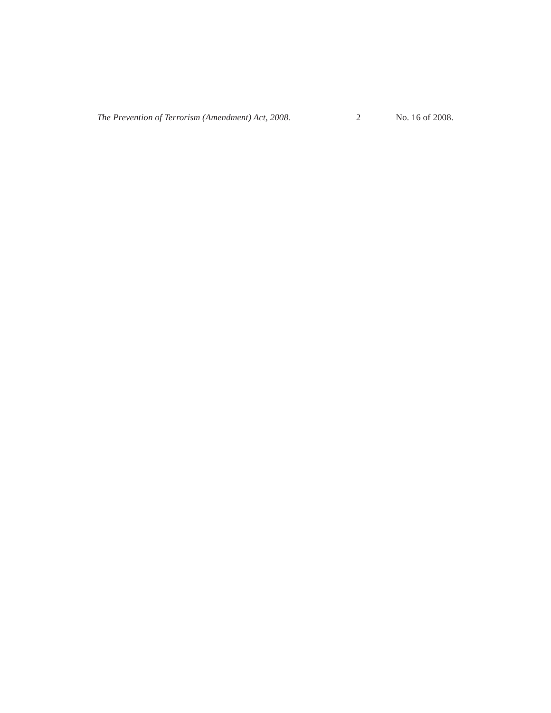*The Prevention of Terrorism (Amendment) Act, 2008.* 2 2 No. 16 of 2008.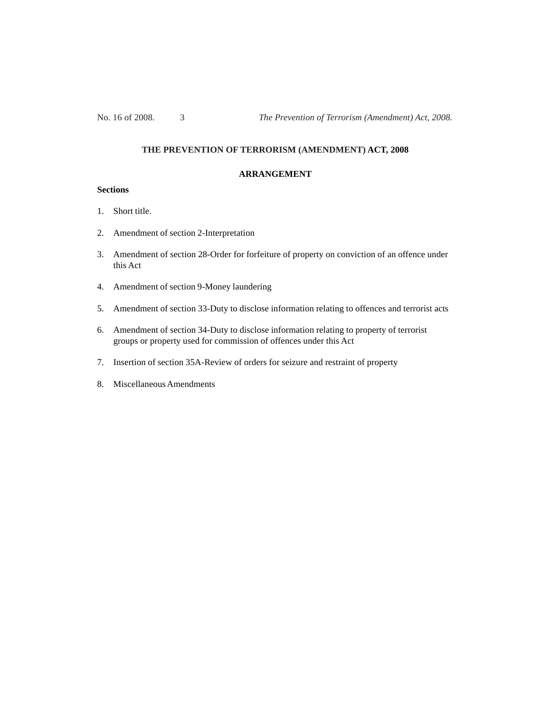## **THE PREVENTION OF TERRORISM (AMENDMENT) ACT, 2008**

## **ARRANGEMENT**

## **Sections**

- 1. Short title.
- 2. Amendment of section 2-Interpretation
- 3. Amendment of section 28-Order for forfeiture of property on conviction of an offence under this Act
- 4. Amendment of section 9-Money laundering
- 5. Amendment of section 33-Duty to disclose information relating to offences and terrorist acts
- 6. Amendment of section 34-Duty to disclose information relating to property of terrorist groups or property used for commission of offences under this Act
- 7. Insertion of section 35A-Review of orders for seizure and restraint of property
- 8. Miscellaneous Amendments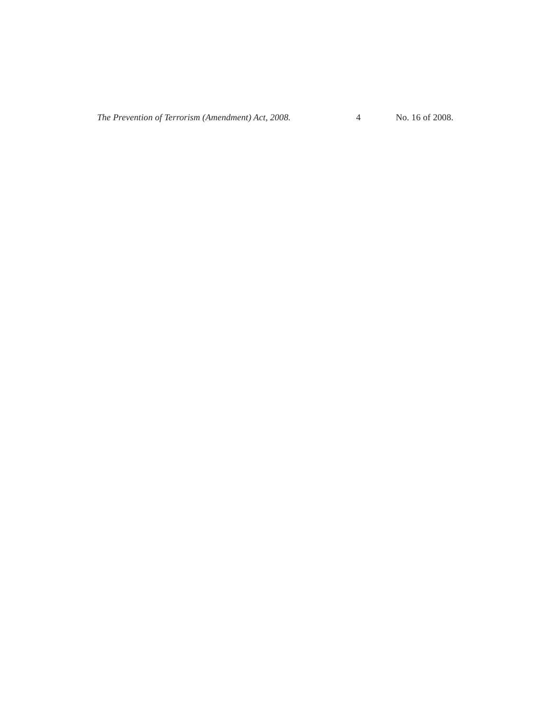*The Prevention of Terrorism (Amendment) Act, 2008.* 4 No. 16 of 2008.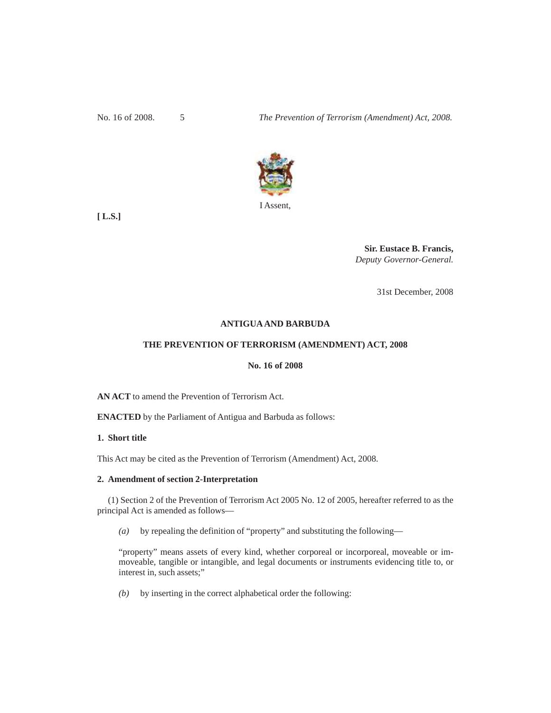No. 16 of 2008. 5 *The Prevention of Terrorism (Amendment) Act, 2008.*



I Assent,

**[ L.S.]**

**Sir. Eustace B. Francis,** *Deputy Governor-General.*

31st December, 2008

#### **ANTIGUAAND BARBUDA**

#### **THE PREVENTION OF TERRORISM (AMENDMENT) ACT, 2008**

#### **No. 16 of 2008**

**AN ACT** to amend the Prevention of Terrorism Act.

**ENACTED** by the Parliament of Antigua and Barbuda as follows:

### **1. Short title**

This Act may be cited as the Prevention of Terrorism (Amendment) Act, 2008.

#### **2. Amendment of section 2-Interpretation**

(1) Section 2 of the Prevention of Terrorism Act 2005 No. 12 of 2005, hereafter referred to as the principal Act is amended as follows—

*(a)* by repealing the definition of "property" and substituting the following—

"property" means assets of every kind, whether corporeal or incorporeal, moveable or immoveable, tangible or intangible, and legal documents or instruments evidencing title to, or interest in, such assets;"

*(b)* by inserting in the correct alphabetical order the following: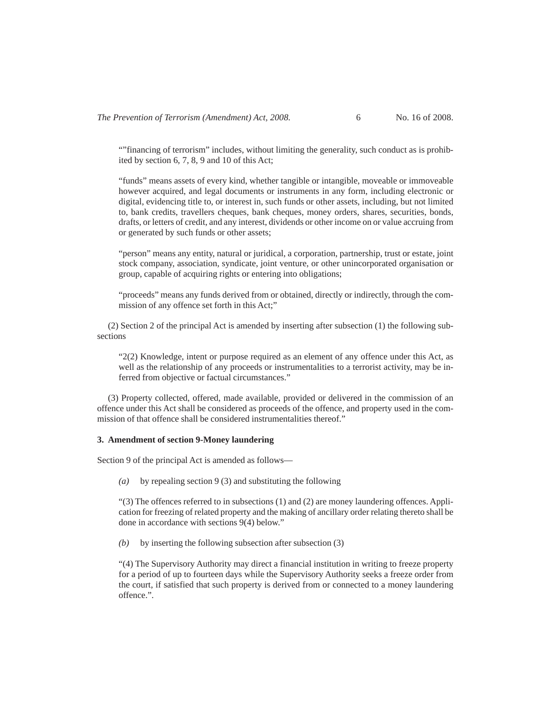""financing of terrorism" includes, without limiting the generality, such conduct as is prohibited by section 6, 7, 8, 9 and 10 of this Act;

"funds" means assets of every kind, whether tangible or intangible, moveable or immoveable however acquired, and legal documents or instruments in any form, including electronic or digital, evidencing title to, or interest in, such funds or other assets, including, but not limited to, bank credits, travellers cheques, bank cheques, money orders, shares, securities, bonds, drafts, or letters of credit, and any interest, dividends or other income on or value accruing from or generated by such funds or other assets;

"person" means any entity, natural or juridical, a corporation, partnership, trust or estate, joint stock company, association, syndicate, joint venture, or other unincorporated organisation or group, capable of acquiring rights or entering into obligations;

"proceeds" means any funds derived from or obtained, directly or indirectly, through the commission of any offence set forth in this Act;"

(2) Section 2 of the principal Act is amended by inserting after subsection (1) the following subsections

"2(2) Knowledge, intent or purpose required as an element of any offence under this Act, as well as the relationship of any proceeds or instrumentalities to a terrorist activity, may be inferred from objective or factual circumstances."

(3) Property collected, offered, made available, provided or delivered in the commission of an offence under this Act shall be considered as proceeds of the offence, and property used in the commission of that offence shall be considered instrumentalities thereof."

#### **3. Amendment of section 9-Money laundering**

Section 9 of the principal Act is amended as follows—

*(a)* by repealing section 9 (3) and substituting the following

 $\degree$ (3) The offences referred to in subsections (1) and (2) are money laundering offences. Application for freezing of related property and the making of ancillary order relating thereto shall be done in accordance with sections 9(4) below."

*(b)* by inserting the following subsection after subsection (3)

"(4) The Supervisory Authority may direct a financial institution in writing to freeze property for a period of up to fourteen days while the Supervisory Authority seeks a freeze order from the court, if satisfied that such property is derived from or connected to a money laundering offence.".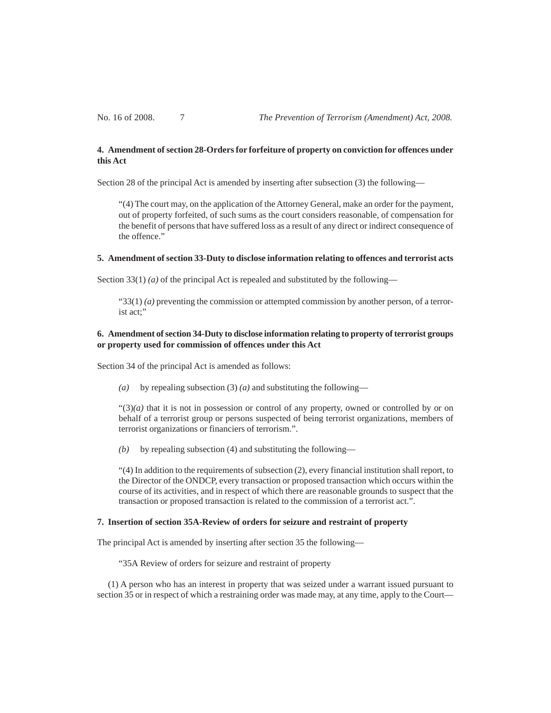### **4. Amendment of section 28-Orders for forfeiture of property on conviction for offences under this Act**

Section 28 of the principal Act is amended by inserting after subsection (3) the following—

"(4) The court may, on the application of the Attorney General, make an order for the payment, out of property forfeited, of such sums as the court considers reasonable, of compensation for the benefit of persons that have suffered loss as a result of any direct or indirect consequence of the offence."

#### **5. Amendment of section 33-Duty to disclose information relating to offences and terrorist acts**

Section 33(1) *(a)* of the principal Act is repealed and substituted by the following—

" $33(1)$  *(a)* preventing the commission or attempted commission by another person, of a terrorist act;"

### **6. Amendment of section 34-Duty to disclose information relating to property of terrorist groups or property used for commission of offences under this Act**

Section 34 of the principal Act is amended as follows:

*(a)* by repealing subsection (3) *(a)* and substituting the following—

" $(3)(a)$  that it is not in possession or control of any property, owned or controlled by or on behalf of a terrorist group or persons suspected of being terrorist organizations, members of terrorist organizations or financiers of terrorism.".

*(b)* by repealing subsection (4) and substituting the following—

"(4) In addition to the requirements of subsection (2), every financial institution shall report, to the Director of the ONDCP, every transaction or proposed transaction which occurs within the course of its activities, and in respect of which there are reasonable grounds to suspect that the transaction or proposed transaction is related to the commission of a terrorist act.".

#### **7. Insertion of section 35A-Review of orders for seizure and restraint of property**

The principal Act is amended by inserting after section 35 the following—

"35A Review of orders for seizure and restraint of property

(1) A person who has an interest in property that was seized under a warrant issued pursuant to section 35 or in respect of which a restraining order was made may, at any time, apply to the Court—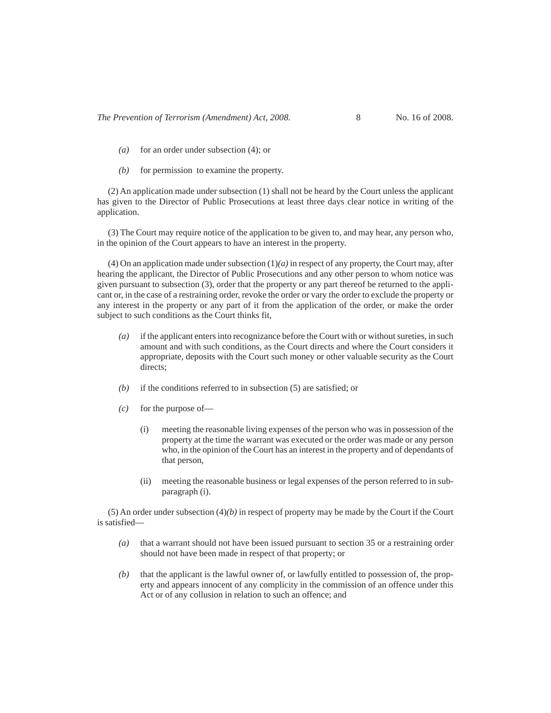- *(a)* for an order under subsection (4); or
- *(b)* for permission to examine the property.

(2) An application made under subsection (1) shall not be heard by the Court unless the applicant has given to the Director of Public Prosecutions at least three days clear notice in writing of the application.

(3) The Court may require notice of the application to be given to, and may hear, any person who, in the opinion of the Court appears to have an interest in the property.

(4) On an application made under subsection (1)*(a)* in respect of any property, the Court may, after hearing the applicant, the Director of Public Prosecutions and any other person to whom notice was given pursuant to subsection (3), order that the property or any part thereof be returned to the applicant or, in the case of a restraining order, revoke the order or vary the order to exclude the property or any interest in the property or any part of it from the application of the order, or make the order subject to such conditions as the Court thinks fit,

- *(a)* if the applicant enters into recognizance before the Court with or without sureties, in such amount and with such conditions, as the Court directs and where the Court considers it appropriate, deposits with the Court such money or other valuable security as the Court directs;
- *(b)* if the conditions referred to in subsection (5) are satisfied; or
- *(c)* for the purpose of—
	- (i) meeting the reasonable living expenses of the person who was in possession of the property at the time the warrant was executed or the order was made or any person who, in the opinion of the Court has an interest in the property and of dependants of that person,
	- (ii) meeting the reasonable business or legal expenses of the person referred to in subparagraph (i).

(5) An order under subsection  $(4)(b)$  in respect of property may be made by the Court if the Court is satisfied—

- *(a)* that a warrant should not have been issued pursuant to section 35 or a restraining order should not have been made in respect of that property; or
- *(b)* that the applicant is the lawful owner of, or lawfully entitled to possession of, the property and appears innocent of any complicity in the commission of an offence under this Act or of any collusion in relation to such an offence; and